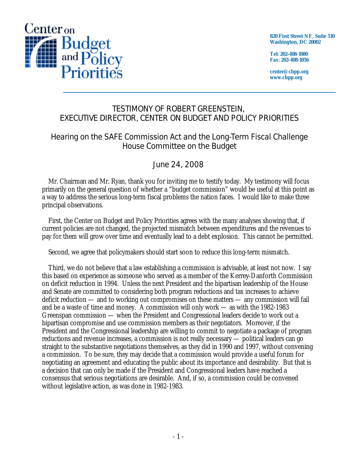

**820 First Street NE, Suite 510 Washington, DC 20002** 

**Tel: 202-408-1080 Fax: 202-408-1056** 

**center@cbpp.org www.cbpp.org** 

## TESTIMONY OF ROBERT GREENSTEIN, EXECUTIVE DIRECTOR, CENTER ON BUDGET AND POLICY PRIORITIES

## Hearing on the SAFE Commission Act and the Long-Term Fiscal Challenge House Committee on the Budget

# June 24, 2008

 Mr. Chairman and Mr. Ryan, thank you for inviting me to testify today. My testimony will focus primarily on the general question of whether a "budget commission" would be useful at this point as a way to address the serious long-term fiscal problems the nation faces. I would like to make three principal observations.

 First, the Center on Budget and Policy Priorities agrees with the many analyses showing that, if current policies are not changed, the projected mismatch between expenditures and the revenues to pay for them will grow over time and eventually lead to a debt explosion. This cannot be permitted.

Second, we agree that policymakers should start soon to reduce this long-term mismatch.

 Third, we do not believe that a law establishing a commission is advisable, at least not now. I say this based on experience as someone who served as a member of the Kerrey-Danforth Commission on deficit reduction in 1994. Unless the next President and the bipartisan leadership of the House and Senate are committed to considering both program reductions and tax increases to achieve deficit reduction — and to working out compromises on these matters — any commission will fail and be a waste of time and money. A commission will only work — as with the 1982-1983 Greenspan commission — when the President and Congressional leaders decide to work out a bipartisan compromise and use commission members as their negotiators. Moreover, if the President and the Congressional leadership are willing to commit to negotiate a package of program reductions and revenue increases, a commission is not really necessary — political leaders can go straight to the substantive negotiations themselves, as they did in 1990 and 1997, without convening a commission. To be sure, they may decide that a commission would provide a useful forum for negotiating an agreement and educating the public about its importance and desirability. But that is a decision that can only be made if the President and Congressional leaders have reached a consensus that serious negotiations are desirable. And, if so, a commission could be convened without legislative action, as was done in 1982-1983.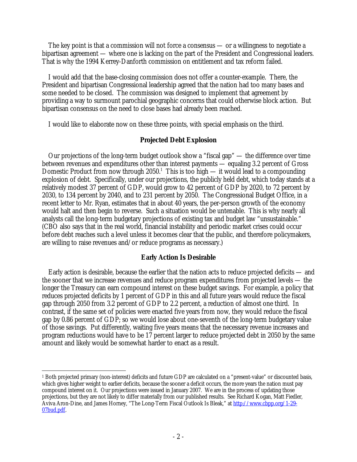The key point is that a commission will not force a consensus — or a willingness to negotiate a bipartisan agreement — where one is lacking on the part of the President and Congressional leaders. That is why the 1994 Kerrey-Danforth commission on entitlement and tax reform failed.

 I would add that the base-closing commission does not offer a counter-example. There, the President and bipartisan Congressional leadership agreed that the nation had too many bases and some needed to be closed. The commission was designed to implement that agreement by providing a way to surmount parochial geographic concerns that could otherwise block action. But bipartisan consensus on the need to close bases had already been reached.

I would like to elaborate now on these three points, with special emphasis on the third.

#### **Projected Debt Explosion**

 Our projections of the long-term budget outlook show a "fiscal gap" — the difference over time between revenues and expenditures other than interest payments — equaling 3.2 percent of Gross Domestic Product from now through  $2050<sup>1</sup>$  This is too high — it would lead to a compounding explosion of debt. Specifically, under our projections, the publicly held debt, which today stands at a relatively modest 37 percent of GDP, would grow to 42 percent of GDP by 2020, to 72 percent by 2030, to 134 percent by 2040, and to 231 percent by 2050. The Congressional Budget Office, in a recent letter to Mr. Ryan, estimates that in about 40 years, the per-person growth of the economy would halt and then begin to reverse. Such a situation would be untenable. This is why nearly all analysts call the long-term budgetary projections of existing tax and budget law "unsustainable." (CBO also says that in the real world, financial instability and periodic market crises could occur before debt reaches such a level unless it becomes clear that the public, and therefore policymakers, are willing to raise revenues and/or reduce programs as necessary.)

### **Early Action Is Desirable**

 Early action is desirable, because the earlier that the nation acts to reduce projected deficits — and the sooner that we increase revenues and reduce program expenditures from projected levels — the longer the Treasury can earn compound interest on these budget savings. For example, a policy that reduces projected deficits by 1 percent of GDP in this and all future years would reduce the fiscal gap through 2050 from 3.2 percent of GDP to 2.2 percent, a reduction of almost one third. In contrast, if the same set of policies were enacted five years from now, they would reduce the fiscal gap by 0.86 percent of GDP; so we would lose about one-seventh of the long-term budgetary value of those savings. Put differently, waiting five years means that the necessary revenue increases and program reductions would have to be 17 percent larger to reduce projected debt in 2050 by the same amount and likely would be somewhat harder to enact as a result.

 $\overline{a}$ 1 Both projected primary (non-interest) deficits and future GDP are calculated on a "present-value" or discounted basis, which gives higher weight to earlier deficits, because the sooner a deficit occurs, the more years the nation must pay compound interest on it. Our projections were issued in January 2007. We are in the process of updating those projections, but they are not likely to differ materially from our published results. See Richard Kogan, Matt Fiedler, Aviva Aron-Dine, and James Horney, "The Long-Term Fiscal Outlook Is Bleak," at http://www.cbpp.org/1-29-07bud.pdf.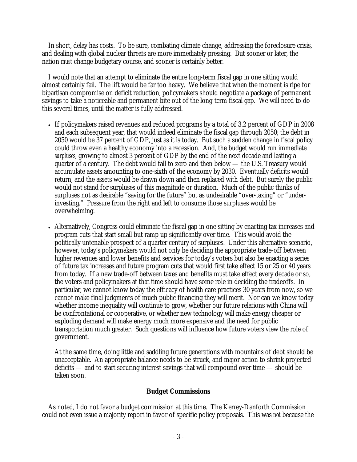In short, delay has costs. To be sure, combating climate change, addressing the foreclosure crisis, and dealing with global nuclear threats are more immediately pressing. But sooner or later, the nation *must* change budgetary course, and sooner is certainly better.

I would note that an attempt to eliminate the entire long-term fiscal gap in one sitting would almost certainly fail. The lift would be far too heavy. We believe that when the moment is ripe for bipartisan compromise on deficit reduction, policymakers should negotiate a package of permanent savings to take a noticeable and permanent bite out of the long-term fiscal gap. We will need to do this several times, until the matter is fully addressed.

- If policymakers raised revenues and reduced programs by a total of 3.2 percent of GDP in 2008 and each subsequent year, that would indeed eliminate the fiscal gap through 2050; the debt in 2050 would be 37 percent of GDP, just as it is today. But such a sudden change in fiscal policy could throw even a healthy economy into a recession. And, the budget would run immediate *surpluses*, growing to almost 3 percent of GDP by the end of the next decade and lasting a quarter of a century. The debt would fall to zero and then below — the U.S. Treasury would accumulate assets amounting to one-sixth of the economy by 2030. Eventually deficits would return, and the assets would be drawn down and then replaced with debt. But surely the public would not stand for surpluses of this magnitude or duration. Much of the public thinks of surpluses not as desirable "saving for the future" but as undesirable "over-taxing" or "underinvesting." Pressure from the right and left to consume those surpluses would be overwhelming.
- Alternatively, Congress could eliminate the fiscal gap in one sitting by enacting tax increases and program cuts that start small but ramp up significantly over time. This would avoid the politically untenable prospect of a quarter century of surpluses. Under this alternative scenario, however, today's policymakers would not only be deciding the appropriate trade-off between higher revenues and lower benefits and services for today's voters but also be enacting a series of future tax increases and future program cuts that would first take effect 15 or 25 or 40 years from today. If a new trade-off between taxes and benefits must take effect every decade or so, the voters and policymakers at that time should have some role in deciding the tradeoffs. In particular, we cannot know today the efficacy of health care practices 30 years from now, so we cannot make final judgments of much public financing they will merit. Nor can we know today whether income inequality will continue to grow, whether our future relations with China will be confrontational or cooperative, or whether new technology will make energy cheaper or exploding demand will make energy much more expensive and the need for public transportation much greater. Such questions will influence how future voters view the role of government.

At the same time, doing little and saddling future generations with mountains of debt should be unacceptable. An appropriate balance needs to be struck, and major action to shrink projected deficits — and to start securing interest savings that will compound over time — should be taken soon.

### **Budget Commissions**

As noted, I do not favor a budget commission at this time. The Kerrey-Danforth Commission could not even issue a majority report in favor of specific policy proposals. This was *not* because the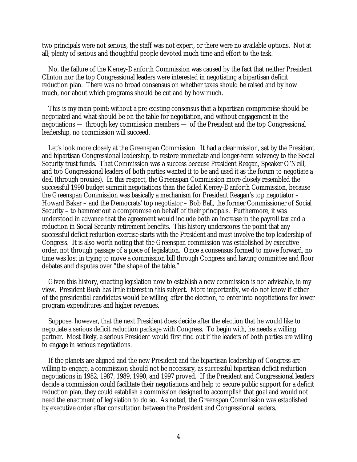two principals were not serious, the staff was not expert, or there were no available options. Not at all; plenty of serious and thoughtful people devoted much time and effort to the task.

No, the failure of the Kerrey-Danforth Commission was caused by the fact that neither President Clinton nor the top Congressional leaders were interested in negotiating a bipartisan deficit reduction plan. There was no broad consensus on whether taxes should be raised and by how much, nor about which programs should be cut and by how much.

This is my main point: without a pre-existing consensus that a bipartisan compromise should be negotiated and what should be on the table for negotiation, and without engagement in the negotiations — through key commission members — of the President and the top Congressional leadership, no commission will succeed.

Let's look more closely at the Greenspan Commission. It had a clear mission, set by the President and bipartisan Congressional leadership, to restore immediate and longer-term solvency to the Social Security trust funds. That Commission was a success because President Reagan, Speaker O'Neill, and top Congressional leaders of both parties wanted it to be and used it as the forum to negotiate a deal (through proxies). In this respect, the Greenspan Commission more closely resembled the successful 1990 budget summit negotiations than the failed Kerrey-Danforth Commission, because the Greenspan Commission was basically a mechanism for President Reagan's top negotiator – Howard Baker – and the Democrats' top negotiator – Bob Ball, the former Commissioner of Social Security – to hammer out a compromise on behalf of their principals. Furthermore, it was understood in advance that the agreement would include both an increase in the payroll tax and a reduction in Social Security retirement benefits. This history underscores the point that any successful deficit reduction exercise starts with the President and must involve the top leadership of Congress. It is also worth noting that the Greenspan commission was established by executive order, not through passage of a piece of legislation. Once a consensus formed to move forward, no time was lost in trying to move a commission bill through Congress and having committee and floor debates and disputes over "the shape of the table."

Given this history, enacting legislation now to establish a new commission is not advisable, in my view. President Bush has little interest in this subject. More importantly, we do not know if either of the presidential candidates would be willing, after the election, to enter into negotiations for lower program expenditures and higher revenues.

Suppose, however, that the next President does decide after the election that he would like to negotiate a serious deficit reduction package with Congress. To begin with, he needs a willing partner. Most likely, a serious President would first find out if the leaders of both parties are willing to engage in serious negotiations.

If the planets are aligned and the new President and the bipartisan leadership of Congress are willing to engage, a commission should not be necessary, as successful bipartisan deficit reduction negotiations in 1982, 1987, 1989, 1990, and 1997 proved. If the President and Congressional leaders decide a commission could facilitate their negotiations and help to secure public support for a deficit reduction plan, they could establish a commission designed to accomplish that goal and would not need the enactment of legislation to do so. As noted, the Greenspan Commission was established by executive order after consultation between the President and Congressional leaders.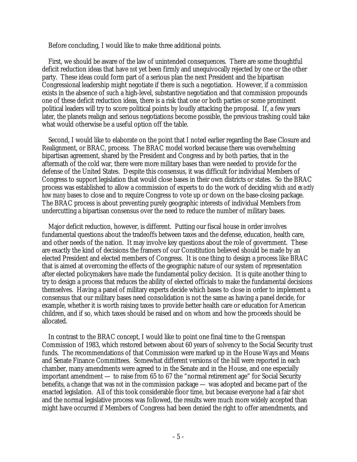Before concluding, I would like to make three additional points.

First, we should be aware of the law of unintended consequences. There are some thoughtful deficit reduction ideas that have *not* yet been firmly and unequivocally rejected by one or the other party. These ideas could form part of a serious plan the next President and the bipartisan Congressional leadership might negotiate if there is such a negotiation. However, if a commission exists in the absence of such a high-level, substantive negotiation and that commission propounds one of these deficit reduction ideas, there is a risk that one or both parties or some prominent political leaders will try to score political points by loudly attacking the proposal. If, a few years later, the planets realign and serious negotiations become possible, the previous trashing could take what would otherwise be a useful option off the table.

Second, I would like to elaborate on the point that I noted earlier regarding the Base Closure and Realignment, or BRAC, process. The BRAC model worked because there was overwhelming bipartisan agreement, shared by the President and Congress and by both parties, that in the aftermath of the cold war, there were more military bases than were needed to provide for the defense of the United States. Despite this consensus, it was difficult for individual Members of Congress to support legislation that would close bases in their own districts or states. So the BRAC process was established to allow a commission of experts to do the work of deciding *which and exactly how many* bases to close and to require Congress to vote up or down on the base-closing package. The BRAC process is about preventing purely geographic interests of individual Members from undercutting a bipartisan consensus over the need to reduce the number of military bases.

Major deficit reduction, however, is different. Putting our fiscal house in order involves fundamental questions about the tradeoffs between taxes and the defense, education, health care, and other needs of the nation. It may involve key questions about the role of government. These are exactly the kind of decisions the framers of our Constitution believed should be made by an elected President and elected members of Congress. It is one thing to design a process like BRAC that is aimed at overcoming the effects of the geographic nature of our system of representation after elected policymakers have made the fundamental policy decision. It is quite another thing to try to design a process that reduces the ability of elected officials to make the fundamental decisions themselves. Having a panel of military experts decide which bases to close in order to implement a consensus that our military bases need consolidation is not the same as having a panel decide, for example, whether it is worth raising taxes to provide better health care or education for American children, and if so, which taxes should be raised and on whom and how the proceeds should be allocated.

In contrast to the BRAC concept, I would like to point one final time to the Greenspan Commission of 1983, which restored between about 60 years of solvency to the Social Security trust funds. The recommendations of that Commission were marked up in the House Ways and Means and Senate Finance Committees. Somewhat different versions of the bill were reported in each chamber, many amendments were agreed to in the Senate and in the House, and one especially important amendment — to raise from 65 to 67 the "normal retirement age" for Social Security benefits, a change that was *not* in the commission package — was adopted and became part of the enacted legislation. All of this took considerable floor time, but because everyone had a fair shot and the normal legislative process was followed, the results were much more widely accepted than might have occurred if Members of Congress had been denied the right to offer amendments, and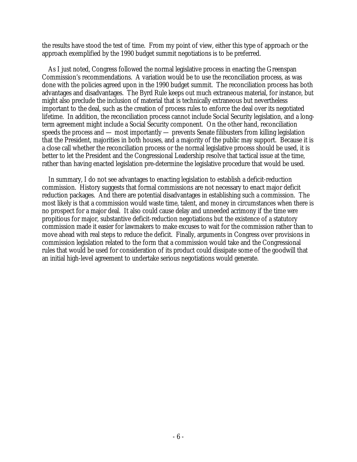the results have stood the test of time. From my point of view, either this type of approach or the approach exemplified by the 1990 budget summit negotiations is to be preferred.

As I just noted, Congress followed the normal legislative process in enacting the Greenspan Commission's recommendations. A variation would be to use the reconciliation process, as was done with the policies agreed upon in the 1990 budget summit. The reconciliation process has both advantages and disadvantages. The Byrd Rule keeps out much extraneous material, for instance, but might also preclude the inclusion of material that is technically extraneous but nevertheless important to the deal, such as the creation of process rules to enforce the deal over its negotiated lifetime. In addition, the reconciliation process cannot include Social Security legislation, and a longterm agreement might include a Social Security component. On the other hand, reconciliation speeds the process and — most importantly — prevents Senate filibusters from killing legislation that the President, majorities in both houses, and a majority of the public may support. Because it is a close call whether the reconciliation process or the normal legislative process should be used, it is better to let the President and the Congressional Leadership resolve that tactical issue at the time, rather than having enacted legislation pre-determine the legislative procedure that would be used.

In summary, I do not see advantages to enacting legislation to establish a deficit-reduction commission. History suggests that formal commissions are not necessary to enact major deficit reduction packages. And there are potential disadvantages in establishing such a commission. The most likely is that a commission would waste time, talent, and money in circumstances when there is no prospect for a major deal. It also could cause delay and unneeded acrimony if the time *were* propitious for major, substantive deficit-reduction negotiations but the existence of a statutory commission made it easier for lawmakers to make excuses to wait for the commission rather than to move ahead with real steps to reduce the deficit. Finally, arguments in Congress over provisions in commission legislation related to the form that a commission would take and the Congressional rules that would be used for consideration of its product could dissipate some of the goodwill that an initial high-level agreement to undertake serious negotiations would generate.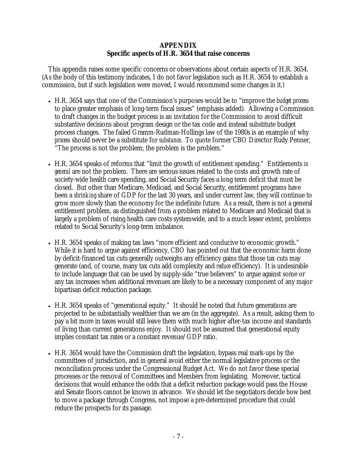#### **APPENDIX Specific aspects of H.R. 3654 that raise concerns**

This appendix raises some specific concerns or observations about certain aspects of H.R. 3654. (As the body of this testimony indicates, I do not favor legislation such as H.R. 3654 to establish a commission, but if such legislation were moved, I would recommend some changes in it.)

- H.R. 3654 says that one of the Commission's purposes would be to "improve the *budget process*  to place greater emphasis of long-term fiscal issues" (emphasis added). Allowing a Commission to draft changes in the budget process is an invitation for the Commission to avoid difficult substantive decisions about program design or the tax code and instead substitute budget process changes. The failed Gramm-Rudman-Hollings law of the 1980s is an example of why *process* should never be a substitute for *substance*. To quote former CBO Director Rudy Penner, "The process is not the problem; the problem is the problem."
- H.R. 3654 speaks of reforms that "limit the growth of entitlement spending." Entitlements *in general* are not the problem. There are serious issues related to the costs and growth rate of society-wide health care spending, and Social Security faces a long term deficit that must be closed. But other than Medicare, Medicaid, and Social Security, entitlement programs have been a *shrinking* share of GDP for the last 30 years, and under current law, they will continue to grow more slowly than the economy for the indefinite future. As a result, there is not a general entitlement problem, as distinguished from a problem related to Medicare and Medicaid that is largely a problem of rising health care costs systemwide, and to a much lesser extent, problems related to Social Security's long-term imbalance.
- H.R. 3654 speaks of making tax laws "more efficient and conducive to economic growth." While it is hard to argue against efficiency, CBO has pointed out that the economic harm done by deficit-financed tax cuts generally outweighs any efficiency gains that those tax cuts may generate (and, of course, many tax cuts add complexity and *reduce* efficiency). It is undesirable to include language that can be used by supply-side "true believers" to argue against some or any tax increases when additional revenues are likely to be a necessary component of any major bipartisan deficit reduction package.
- H.R. 3654 speaks of "generational equity." It should be noted that future generations are projected to be substantially wealthier than we are (in the aggregate). As a result, asking them to pay a bit more in taxes would still leave them with much higher after-tax income and standards of living than current generations enjoy. It should not be assumed that generational equity implies constant tax rates or a constant revenue/GDP ratio.
- H.R. 3654 would have the Commission draft the legislation, bypass real mark-ups by the committees of jurisdiction, and in general avoid either the normal legislative process or the reconciliation process under the Congressional Budget Act. We do not favor these special processes or the removal of Committees and Members from legislating. Moreover, tactical decisions that would enhance the odds that a deficit reduction package would pass the House and Senate floors cannot be known in advance. We should let the negotiators decide how best to move a package through Congress, not impose a pre-determined procedure that could reduce the prospects for its passage.